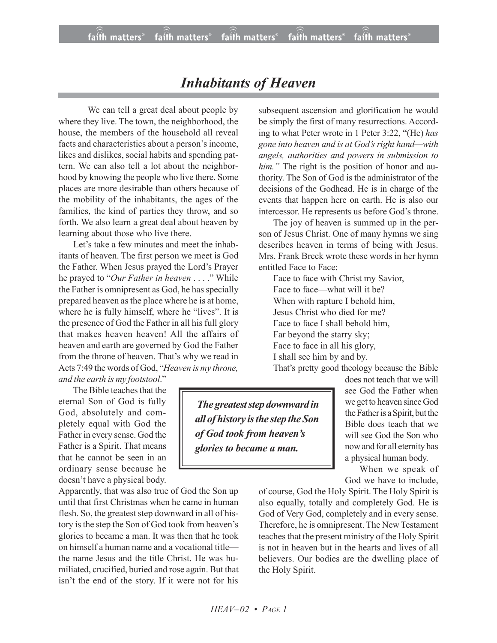## *Inhabitants of Heaven*

We can tell a great deal about people by where they live. The town, the neighborhood, the house, the members of the household all reveal facts and characteristics about a person's income, likes and dislikes, social habits and spending pattern. We can also tell a lot about the neighborhood by knowing the people who live there. Some places are more desirable than others because of the mobility of the inhabitants, the ages of the families, the kind of parties they throw, and so forth. We also learn a great deal about heaven by learning about those who live there.

Let's take a few minutes and meet the inhabitants of heaven. The first person we meet is God the Father. When Jesus prayed the Lord's Prayer he prayed to "*Our Father in heaven* . . . ." While the Father is omnipresent as God, he has specially prepared heaven as the place where he is at home, where he is fully himself, where he "lives". It is the presence of God the Father in all his full glory that makes heaven heaven! All the affairs of heaven and earth are governed by God the Father from the throne of heaven. That's why we read in Acts 7:49 the words of God, "*Heaven is my throne,*

*and the earth is my footstool*."

The Bible teaches that the eternal Son of God is fully God, absolutely and completely equal with God the Father in every sense. God the Father is a Spirit. That means that he cannot be seen in an ordinary sense because he doesn't have a physical body.

Apparently, that was also true of God the Son up until that first Christmas when he came in human flesh. So, the greatest step downward in all of history is the step the Son of God took from heaven's glories to became a man. It was then that he took on himself a human name and a vocational title the name Jesus and the title Christ. He was humiliated, crucified, buried and rose again. But that isn't the end of the story. If it were not for his

subsequent ascension and glorification he would be simply the first of many resurrections. According to what Peter wrote in 1 Peter 3:22, "(He) *has gone into heaven and is at God's right hand—with angels, authorities and powers in submission to him."* The right is the position of honor and authority. The Son of God is the administrator of the decisions of the Godhead. He is in charge of the events that happen here on earth. He is also our intercessor. He represents us before God's throne.

The joy of heaven is summed up in the person of Jesus Christ. One of many hymns we sing describes heaven in terms of being with Jesus. Mrs. Frank Breck wrote these words in her hymn entitled Face to Face:

Face to face with Christ my Savior, Face to face—what will it be? When with rapture I behold him, Jesus Christ who died for me? Face to face I shall behold him, Far beyond the starry sky; Face to face in all his glory, I shall see him by and by.

That's pretty good theology because the Bible

*The greateststep downward in all of history isthe step the Son of God took from heaven's glories to became a man.*

does not teach that we will see God the Father when we get to heaven since God the Father is a Spirit, but the Bible does teach that we will see God the Son who now and for all eternity has a physical human body.

When we speak of God we have to include,

of course, God the Holy Spirit. The Holy Spirit is also equally, totally and completely God. He is God of Very God, completely and in every sense. Therefore, he is omnipresent. The New Testament teaches that the present ministry of the Holy Spirit is not in heaven but in the hearts and lives of all believers. Our bodies are the dwelling place of the Holy Spirit.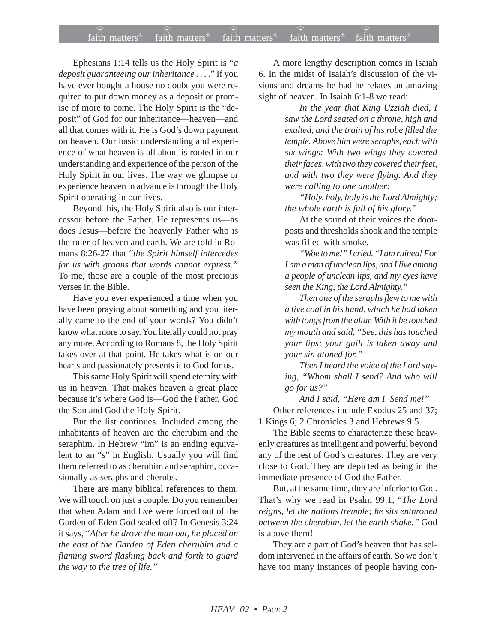## $f$ aith matters® staith matters® staith matters® staith matters® staith matters® faith matters<sup>®</sup> faith matters<sup>®</sup> faith matters<sup>®</sup>

Ephesians 1:14 tells us the Holy Spirit is "*a deposit guaranteeing our inheritance . . .* ." If you have ever bought a house no doubt you were required to put down money as a deposit or promise of more to come. The Holy Spirit is the "deposit" of God for our inheritance—heaven—and all that comes with it. He is God's down payment on heaven. Our basic understanding and experience of what heaven is all about is rooted in our understanding and experience of the person of the Holy Spirit in our lives. The way we glimpse or experience heaven in advance is through the Holy Spirit operating in our lives.

Beyond this, the Holy Spirit also is our intercessor before the Father. He represents us—as does Jesus—before the heavenly Father who is the ruler of heaven and earth. We are told in Romans 8:26-27 that "*the Spirit himself intercedes for us with groans that words cannot express."* To me, those are a couple of the most precious verses in the Bible.

Have you ever experienced a time when you have been praying about something and you literally came to the end of your words? You didn't know what more to say. You literally could not pray any more. According to Romans 8, the Holy Spirit takes over at that point. He takes what is on our hearts and passionately presents it to God for us.

This same Holy Spirit will spend eternity with us in heaven. That makes heaven a great place because it's where God is—God the Father, God the Son and God the Holy Spirit.

But the list continues. Included among the inhabitants of heaven are the cherubim and the seraphim. In Hebrew "im" is an ending equivalent to an "s" in English. Usually you will find them referred to as cherubim and seraphim, occasionally as seraphs and cherubs.

There are many biblical references to them. We will touch on just a couple. Do you remember that when Adam and Eve were forced out of the Garden of Eden God sealed off? In Genesis 3:24 it says, "*After he drove the man out, he placed on the east of the Garden of Eden cherubim and a flaming sword flashing back and forth to guard the way to the tree of life."*

A more lengthy description comes in Isaiah 6. In the midst of Isaiah's discussion of the visions and dreams he had he relates an amazing sight of heaven. In Isaiah 6:1-8 we read:

> *In the year that King Uzziah died, I saw the Lord seated on a throne, high and exalted, and the train of his robe filled the temple. Above him were seraphs, each with six wings: With two wings they covered their faces, with two they covered their feet, and with two they were flying. And they were calling to one another:*

*"Holy, holy, holy is the Lord Almighty; the whole earth is full of his glory."*

At the sound of their voices the doorposts and thresholds shook and the temple was filled with smoke.

*"Woe to me!" I cried. "I am ruined! For I am a man of unclean lips, and I live among a people of unclean lips, and my eyes have seen the King, the Lord Almighty."*

*Then one of the seraphs flew to me with a live coal in his hand, which he had taken with tongs from the altar. With it he touched my mouth and said, "See, this has touched your lips; your guilt is taken away and your sin atoned for."*

*Then I heard the voice of the Lord saying, "Whom shall I send? And who will go for us?"*

*And I said, "Here am I. Send me!"* Other references include Exodus 25 and 37; 1 Kings 6; 2 Chronicles 3 and Hebrews 9:5.

The Bible seems to characterize these heavenly creatures as intelligent and powerful beyond any of the rest of God's creatures. They are very close to God. They are depicted as being in the immediate presence of God the Father.

But, at the same time, they are inferior to God. That's why we read in Psalm 99:1, "*The Lord reigns, let the nations tremble; he sits enthroned between the cherubim, let the earth shake."* God is above them!

They are a part of God's heaven that has seldom intervened in the affairs of earth. So we don't have too many instances of people having con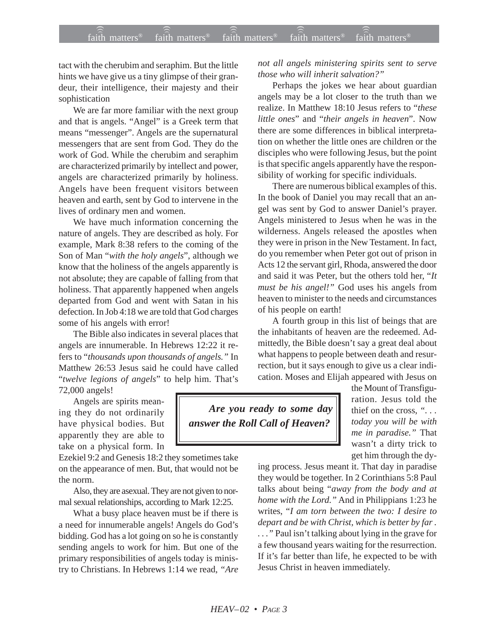tact with the cherubim and seraphim. But the little hints we have give us a tiny glimpse of their grandeur, their intelligence, their majesty and their sophistication

We are far more familiar with the next group and that is angels. "Angel" is a Greek term that means "messenger". Angels are the supernatural messengers that are sent from God. They do the work of God. While the cherubim and seraphim are characterized primarily by intellect and power, angels are characterized primarily by holiness. Angels have been frequent visitors between heaven and earth, sent by God to intervene in the lives of ordinary men and women.

We have much information concerning the nature of angels. They are described as holy. For example, Mark 8:38 refers to the coming of the Son of Man "*with the holy angels*", although we know that the holiness of the angels apparently is not absolute; they are capable of falling from that holiness. That apparently happened when angels departed from God and went with Satan in his defection. In Job 4:18 we are told that God charges some of his angels with error!

The Bible also indicates in several places that angels are innumerable. In Hebrews 12:22 it refers to "*thousands upon thousands of angels."* In Matthew 26:53 Jesus said he could have called "*twelve legions of angels*" to help him. That's 72,000 angels!

Angels are spirits meaning they do not ordinarily have physical bodies. But apparently they are able to take on a physical form. In

Ezekiel 9:2 and Genesis 18:2 they sometimes take on the appearance of men. But, that would not be the norm.

Also, they are asexual. They are not given to normal sexual relationships, according to Mark 12:25.

What a busy place heaven must be if there is a need for innumerable angels! Angels do God's bidding. God has a lot going on so he is constantly sending angels to work for him. But one of the primary responsibilities of angels today is ministry to Christians. In Hebrews 1:14 we read, *"Are* *not all angels ministering spirits sent to serve those who will inherit salvation?"*

Perhaps the jokes we hear about guardian angels may be a lot closer to the truth than we realize. In Matthew 18:10 Jesus refers to "*these little ones*" and "*their angels in heaven*". Now there are some differences in biblical interpretation on whether the little ones are children or the disciples who were following Jesus, but the point is that specific angels apparently have the responsibility of working for specific individuals.

There are numerous biblical examples of this. In the book of Daniel you may recall that an angel was sent by God to answer Daniel's prayer. Angels ministered to Jesus when he was in the wilderness. Angels released the apostles when they were in prison in the New Testament. In fact, do you remember when Peter got out of prison in Acts 12 the servant girl, Rhoda, answered the door and said it was Peter, but the others told her, "*It must be his angel!"* God uses his angels from heaven to minister to the needs and circumstances of his people on earth!

A fourth group in this list of beings that are the inhabitants of heaven are the redeemed. Admittedly, the Bible doesn't say a great deal about what happens to people between death and resurrection, but it says enough to give us a clear indication. Moses and Elijah appeared with Jesus on

*Are you ready to some day answer the Roll Call of Heaven?*

the Mount of Transfiguration. Jesus told the thief on the cross, *". . . today you will be with me in paradise."* That wasn't a dirty trick to get him through the dy-

ing process. Jesus meant it. That day in paradise they would be together. In 2 Corinthians 5:8 Paul talks about being "*away from the body and at home with the Lord."* And in Philippians 1:23 he writes, "*I am torn between the two: I desire to depart and be with Christ, which is better by far . . . ."* Paul isn't talking about lying in the grave for a few thousand years waiting for the resurrection. If it's far better than life, he expected to be with Jesus Christ in heaven immediately.